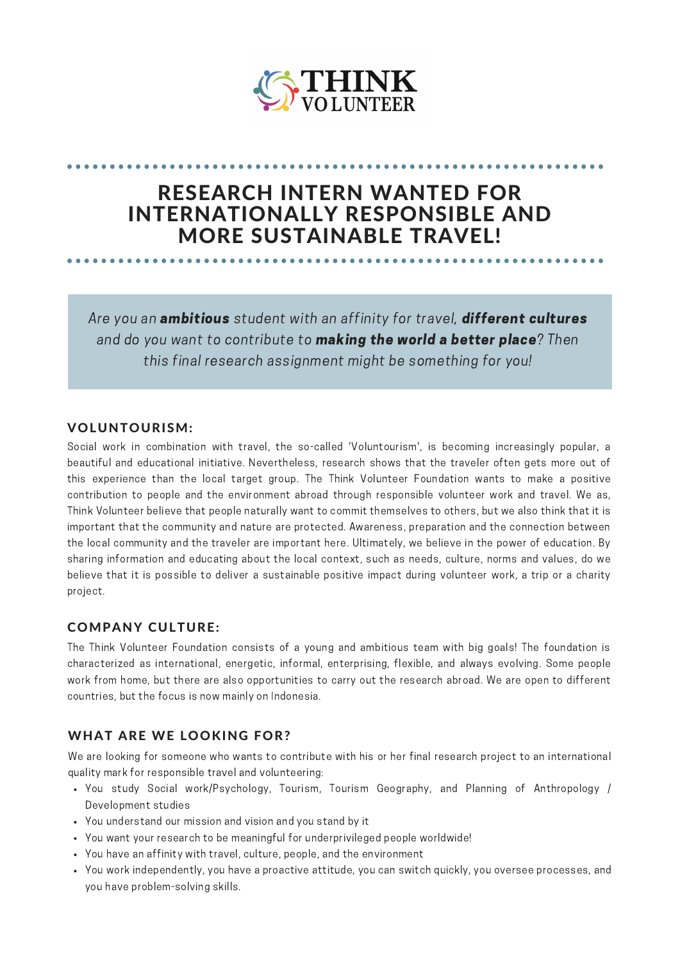

# RESEARCH INTERN WANTED FOR INTERNATIONALLY RESPONSIBLE AND MORE SUSTAINABLE TRAVEL!

Are you an *ambitious* student with an affinity for travel, *different cultures* and do you want to contribute to **making the world a better place**? Then this final research assignment might be something for you!

## VOLUNTOURISM:

Social work in combination with travel, the so-called 'Voluntourism', is becoming increasingly popular, a beautiful and educational initiative. Nevertheless, research shows that the traveler often gets more out of this experience than the local target group. The Think Volunteer Foundation wants to make a positive contribution to people and the environment abroad through responsible volunteer work and travel. We as, Think Volunteer believe that people naturally want to commit themselves to others, but we also think that it is important that the community and nature are protected. Awareness, preparation and the connection between the local community and the traveler are important here. Ultimately, we believe in the power of education. By sharing information and educating about the local context, such as needs, culture, norms and values, do we believe that it is possible to deliver a sustainable positive impact during volunteer work, a trip or a charity project.

# COMPANY CULTURE:

The Think Volunteer Foundation consists of a young and ambitious team with big goals! The foundation is characterized as international, energetic, informal, enterprising, flexible, and always evolving. Some people work from home, but there are also opportunities to carry out the research abroad. We are open to different countries, but the focus is now mainly on Indonesia.

# WHAT ARE WE LOOKING FOR?

We are looking for someone who wants to contribute with his or her final research project to an international quality mark for responsible travel and volunteering:

- You study Social work/Psychology, Tourism, Tourism Geography, and Planning of Anthropology / Development studies
- You understand our mission and vision and you stand by it
- You want your research to be meaningful for underprivileged people worldwide!
- You have an affinity with travel, culture, people, and the environment
- You work independently, you have a proactive attitude, you can switch quickly, you oversee processes, and you have problem-solving skills.